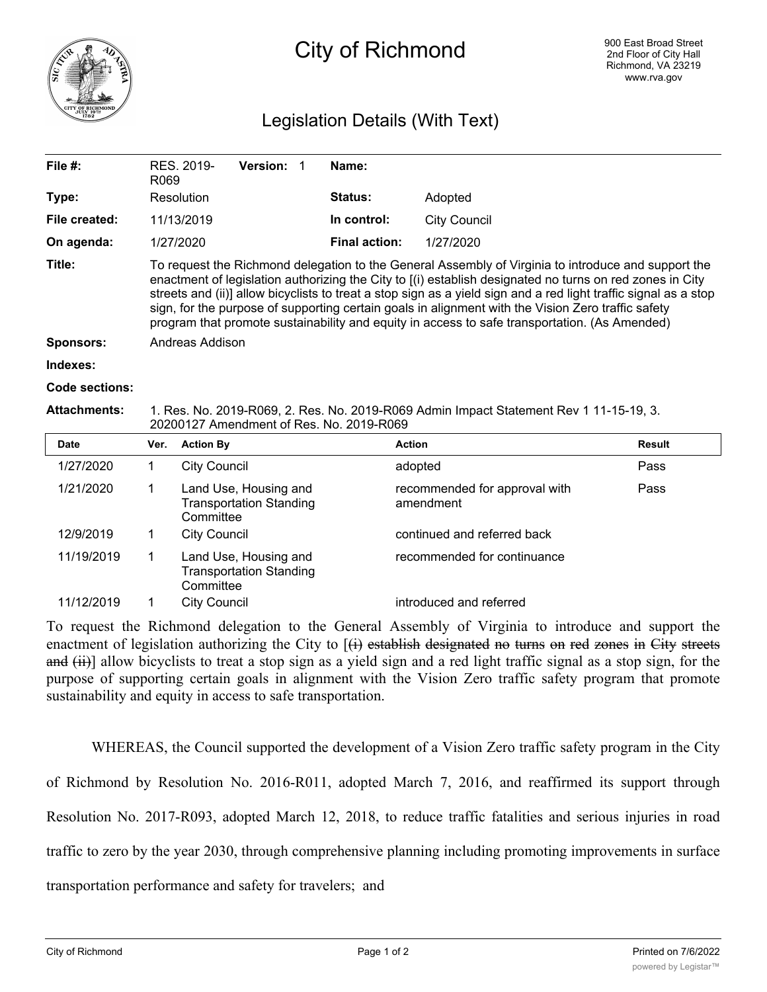

# City of Richmond

# Legislation Details (With Text)

| File $#$ :       | RES. 2019-<br>R <sub>069</sub>                                                                                                                                                                                                                                                                                                                                                                                                                                                                                                             | <b>Version:</b> |  | Name:                |              |  |  |
|------------------|--------------------------------------------------------------------------------------------------------------------------------------------------------------------------------------------------------------------------------------------------------------------------------------------------------------------------------------------------------------------------------------------------------------------------------------------------------------------------------------------------------------------------------------------|-----------------|--|----------------------|--------------|--|--|
| Type:            | Resolution                                                                                                                                                                                                                                                                                                                                                                                                                                                                                                                                 |                 |  | Status:              | Adopted      |  |  |
| File created:    | 11/13/2019                                                                                                                                                                                                                                                                                                                                                                                                                                                                                                                                 |                 |  | In control:          | City Council |  |  |
| On agenda:       | 1/27/2020                                                                                                                                                                                                                                                                                                                                                                                                                                                                                                                                  |                 |  | <b>Final action:</b> | 1/27/2020    |  |  |
| Title:           | To request the Richmond delegation to the General Assembly of Virginia to introduce and support the<br>enactment of legislation authorizing the City to [(i) establish designated no turns on red zones in City<br>streets and (ii)] allow bicyclists to treat a stop sign as a yield sign and a red light traffic signal as a stop<br>sign, for the purpose of supporting certain goals in alignment with the Vision Zero traffic safety<br>program that promote sustainability and equity in access to safe transportation. (As Amended) |                 |  |                      |              |  |  |
| <b>Sponsors:</b> | Andreas Addison                                                                                                                                                                                                                                                                                                                                                                                                                                                                                                                            |                 |  |                      |              |  |  |
| Indexes:         |                                                                                                                                                                                                                                                                                                                                                                                                                                                                                                                                            |                 |  |                      |              |  |  |

```
Code sections:
```
**Attachments:** 1. Res. No. 2019-R069, 2. Res. No. 2019-R069 Admin Impact Statement Rev 1 11-15-19, 3. 20200127 Amendment of Res. No. 2019-R069

| <b>Date</b> | Ver. | <b>Action By</b>                                                     | <b>Action</b>                              | <b>Result</b> |
|-------------|------|----------------------------------------------------------------------|--------------------------------------------|---------------|
| 1/27/2020   |      | City Council                                                         | adopted                                    | Pass          |
| 1/21/2020   |      | Land Use, Housing and<br><b>Transportation Standing</b><br>Committee | recommended for approval with<br>amendment | Pass          |
| 12/9/2019   |      | <b>City Council</b>                                                  | continued and referred back                |               |
| 11/19/2019  |      | Land Use, Housing and<br><b>Transportation Standing</b><br>Committee | recommended for continuance                |               |
| 11/12/2019  |      | <b>City Council</b>                                                  | introduced and referred                    |               |

To request the Richmond delegation to the General Assembly of Virginia to introduce and support the enactment of legislation authorizing the City to [(i) establish designated no turns on red zones in City streets and (ii)] allow bicyclists to treat a stop sign as a yield sign and a red light traffic signal as a stop sign, for the purpose of supporting certain goals in alignment with the Vision Zero traffic safety program that promote sustainability and equity in access to safe transportation.

WHEREAS, the Council supported the development of a Vision Zero traffic safety program in the City of Richmond by Resolution No. 2016-R011, adopted March 7, 2016, and reaffirmed its support through Resolution No. 2017-R093, adopted March 12, 2018, to reduce traffic fatalities and serious injuries in road traffic to zero by the year 2030, through comprehensive planning including promoting improvements in surface transportation performance and safety for travelers; and